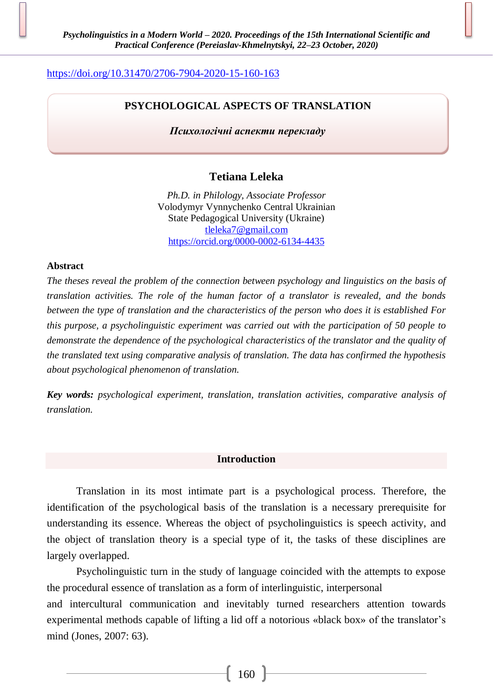# <https://doi.org/10.31470/2706-7904-2020-15-160-163>

## **PSYCHOLOGICAL ASPECTS OF TRANSLATION**

*Психологічні аспекти перекладу*

## **Tetiana Leleka**

*Ph.D. in Philology, Associate Professor* Volodymyr Vynnychenko Central Ukrainian State Pedagogical University (Ukraine) [tleleka7@gmail.com](mailto:tleleka7@gmail.com) <https://orcid.org/0000-0002-6134-4435>

### **Abstract**

*The theses reveal the problem of the connection between psychology and linguistics on the basis of translation activities. The role of the human factor of a translator is revealed, and the bonds between the type of translation and the characteristics of the person who does it is established For this purpose, a psycholinguistic experiment was carried out with the participation of 50 people to demonstrate the dependence of the psychological characteristics of the translator and the quality of the translated text using comparative analysis of translation. The data has confirmed the hypothesis about psychological phenomenon of translation.*

*Key words: psychological experiment, translation, translation activities, comparative analysis of translation.*

#### **Introduction**

Translation in its most intimate part is a psychological process. Therefore, the identification of the psychological basis of the translation is a necessary prerequisite for understanding its essence. Whereas the object of psycholinguistics is speech activity, and the object of translation theory is a special type of it, the tasks of these disciplines are largely overlapped.

Psycholinguistic turn in the study of language coincided with the attempts to expose the procedural essence of translation as a form of interlinguistic, interpersonal and intercultural communication and inevitably turned researchers attention towards experimental methods capable of lifting a lid off a notorious «black box» of the translator's mind (Jones, 2007: 63).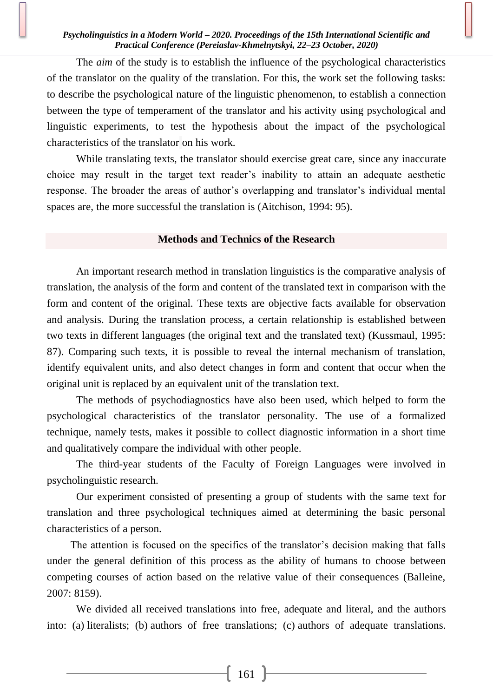### *Psycholinguistics in a Modern World – 2020. Proceedings of the 15th International Scientific and Practical Conference (Pereiaslav-Khmelnytskyi, 22–23 October, 2020)*

The *aim* of the study is to establish the influence of the psychological characteristics of the translator on the quality of the translation. For this, the work set the following tasks: to describe the psychological nature of the linguistic phenomenon, to establish a connection between the type of temperament of the translator and his activity using psychological and linguistic experiments, to test the hypothesis about the impact of the psychological characteristics of the translator on his work.

While translating texts, the translator should exercise great care, since any inaccurate choice may result in the target text reader's inability to attain an adequate aesthetic response. The broader the areas of author's overlapping and translator's individual mental spaces are, the more successful the translation is (Aitchison, 1994: 95).

#### **Methods and Technics of the Research**

An important research method in translation linguistics is the comparative analysis of translation, the analysis of the form and content of the translated text in comparison with the form and content of the original. These texts are objective facts available for observation and analysis. During the translation process, a certain relationship is established between two texts in different languages (the original text and the translated text) (Kussmaul, 1995: 87). Comparing such texts, it is possible to reveal the internal mechanism of translation, identify equivalent units, and also detect changes in form and content that occur when the original unit is replaced by an equivalent unit of the translation text.

The methods of psychodiagnostics have also been used, which helped to form the psychological characteristics of the translator personality. The use of a formalized technique, namely tests, makes it possible to collect diagnostic information in a short time and qualitatively compare the individual with other people.

The third-year students of the Faculty of Foreign Languages were involved in psycholinguistic research.

Our experiment consisted of presenting a group of students with the same text for translation and three psychological techniques aimed at determining the basic personal characteristics of a person.

The attention is focused on the specifics of the translator's decision making that falls under the general definition of this process as the ability of humans to choose between competing courses of action based on the relative value of their consequences (Balleine, 2007: 8159).

We divided all received translations into free, adequate and literal, and the authors into: (a) literalists; (b) authors of free translations; (c) authors of adequate translations.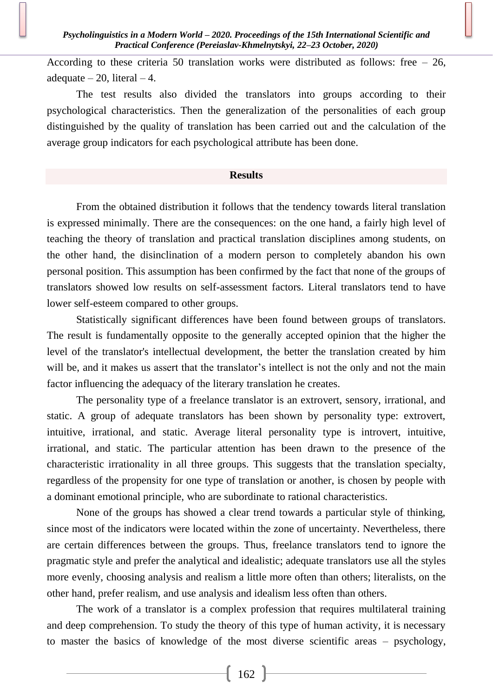According to these criteria 50 translation works were distributed as follows: free  $-26$ , adequate  $-20$ , literal  $-4$ .

The test results also divided the translators into groups according to their psychological characteristics. Then the generalization of the personalities of each group distinguished by the quality of translation has been carried out and the calculation of the average group indicators for each psychological attribute has been done.

#### **Results**

From the obtained distribution it follows that the tendency towards literal translation is expressed minimally. There are the consequences: on the one hand, a fairly high level of teaching the theory of translation and practical translation disciplines among students, on the other hand, the disinclination of a modern person to completely abandon his own personal position. This assumption has been confirmed by the fact that none of the groups of translators showed low results on self-assessment factors. Literal translators tend to have lower self-esteem compared to other groups.

Statistically significant differences have been found between groups of translators. The result is fundamentally opposite to the generally accepted opinion that the higher the level of the translator's intellectual development, the better the translation created by him will be, and it makes us assert that the translator's intellect is not the only and not the main factor influencing the adequacy of the literary translation he creates.

The personality type of a freelance translator is an extrovert, sensory, irrational, and static. A group of adequate translators has been shown by personality type: extrovert, intuitive, irrational, and static. Average literal personality type is introvert, intuitive, irrational, and static. The particular attention has been drawn to the presence of the characteristic irrationality in all three groups. This suggests that the translation specialty, regardless of the propensity for one type of translation or another, is chosen by people with a dominant emotional principle, who are subordinate to rational characteristics.

None of the groups has showed a clear trend towards a particular style of thinking, since most of the indicators were located within the zone of uncertainty. Nevertheless, there are certain differences between the groups. Thus, freelance translators tend to ignore the pragmatic style and prefer the analytical and idealistic; adequate translators use all the styles more evenly, choosing analysis and realism a little more often than others; literalists, on the other hand, prefer realism, and use analysis and idealism less often than others.

The work of a translator is a complex profession that requires multilateral training and deep comprehension. To study the theory of this type of human activity, it is necessary to master the basics of knowledge of the most diverse scientific areas – psychology,